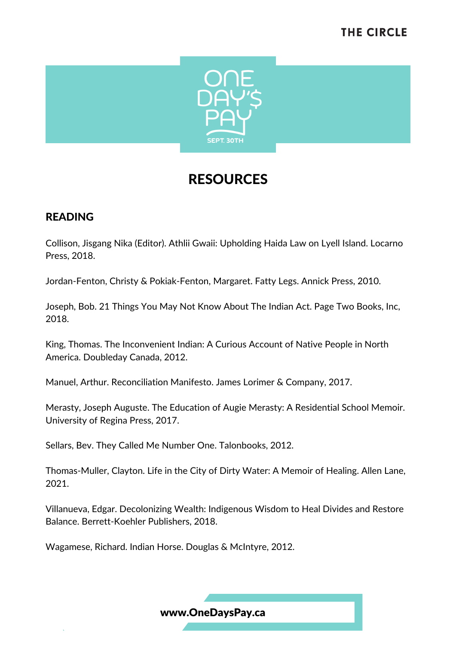

### READING

Collison, Jisgang Nika (Editor). Athlii Gwaii: Upholding Haida Law on Lyell Island. Locarno Press, 2018.

Jordan-Fenton, Christy & Pokiak-Fenton, Margaret. Fatty Legs. Annick Press, 2010.

Joseph, Bob. 21 Things You May Not Know About The Indian Act. Page Two Books, Inc, 2018.

King, Thomas. The Inconvenient Indian: A Curious Account of Native People in North America. Doubleday Canada, 2012.

Manuel, Arthur. Reconciliation Manifesto. James Lorimer & Company, 2017.

Merasty, Joseph Auguste. The Education of Augie Merasty: A Residential School Memoir. University of Regina Press, 2017.

Sellars, Bev. They Called Me Number One. Talonbooks, 2012.

Thomas-Muller, Clayton. Life in the City of Dirty Water: A Memoir of Healing. Allen Lane, 2021.

Villanueva, Edgar. Decolonizing Wealth: Indigenous Wisdom to Heal Divides and Restore Balance. Berrett-Koehler Publishers, 2018.

Wagamese, Richard. Indian Horse. Douglas & McIntyre, 2012.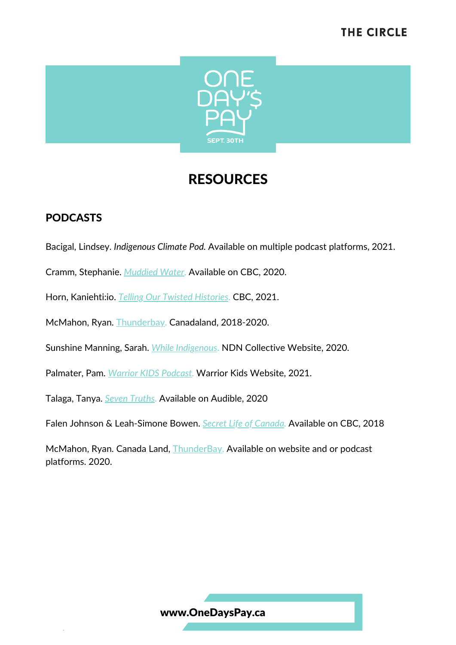

### PODCASTS

- Bacigal, Lindsey. *Indigenous Climate Pod.* Available on multiple podcast platforms, 2021.
- Cramm, Stephanie. *[Muddied](https://www.cbc.ca/listen/cbc-podcasts/371-muddied-water) Water*. Available on CBC, 2020.
- Horn, Kaniehti:io. *Telling Our Twisted [Histories](https://www.cbc.ca/listen/cbc-podcasts/906-telling-our-twisted-histories)*. CBC, 2021.
- McMahon, Ryan. [Thunderbay.](https://www.canadaland.com/shows/thunder-bay/) Canadaland, 2018-2020.
- Sunshine Manning, Sarah. *While [Indigenous](https://ndncollective.org/podcasts/)*. NDN Collective Website, 2020.
- Palmater, Pam. *Warrior KIDS [Podcast.](https://warriorkidspodcast.com/about)* Warrior Kids Website, 2021.
- [Talaga](https://www.audible.ca/search?searchNarrator=Tanya+Talaga&ref=a_pd_Seven-_c2_narrator_1&pf_rd_p=971f0cb1-eabd-4ad6-9104-80090df8a80f&pf_rd_r=3RTKBEW8Q5PXET1D6WGQ), [Tanya.](https://www.audible.ca/search?searchNarrator=Tanya+Talaga&ref=a_pd_Seven-_c2_narrator_1&pf_rd_p=971f0cb1-eabd-4ad6-9104-80090df8a80f&pf_rd_r=3RTKBEW8Q5PXET1D6WGQ) *Seven [Truths](https://www.audible.ca/pd/Seven-Truths-Podcast/B08NXZGC4X)*. Available on Audible, 2020
- Falen Johnson & Leah-Simone Bowen. *Secret Life of [Canada](https://www.cbc.ca/listen/cbc-podcasts/203-the-secret-life-of-canada).* Available on CBC, 2018
- McMahon, Ryan. Canada Land, [ThunderBay](https://www.canadaland.com/shows/thunder-bay/). Available on website and or podcast platforms. 2020.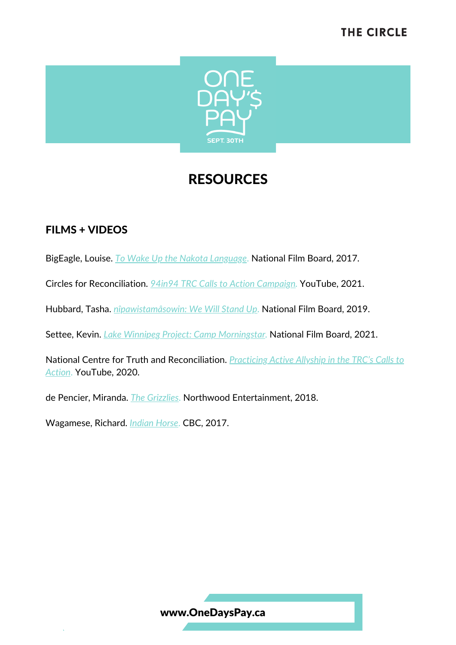

### FILMS + VIDEOS

BigEagle, Louise. *To Wake Up the Nakota [Language](https://www.nfb.ca/film/to_wake_up_the_nakota_language/)*. National Film Board, 2017.

Circles for Reconciliation. *94in94 TRC Calls to Action [Campaign](https://www.youtube.com/watch?v=IXyJUG4vghs).* YouTube, 2021.

Hubbard, Tasha. *[nîpawistamâsowin:](https://www.nfb.ca/film/nipawistamasowin-we-will-stand-up_52-min/) We Will Stand Up*. National Film Board, 2019.

Settee, Kevin. *Lake Winnipeg Project: Camp [Morningstar.](https://www.nfb.ca/film/lake-winnipeg-project-camp-morningstar/)* National Film Board, 2021.

National Centre for Truth and [Reconciliation.](https://www.youtube.com/watch?v=OFRR_OvipxQ) *Practicing Active Allyship in the TRC's Calls to Action*. YouTube, 2020.

de Pencier, Miranda. *The [Grizzlies](https://www.thegrizzliesmovie.com/)*. Northwood Entertainment, 2018.

Wagamese, Richard. *[Indian](https://www.cbc.ca/films/more/indian-horse) Horse*. CBC, 2017.